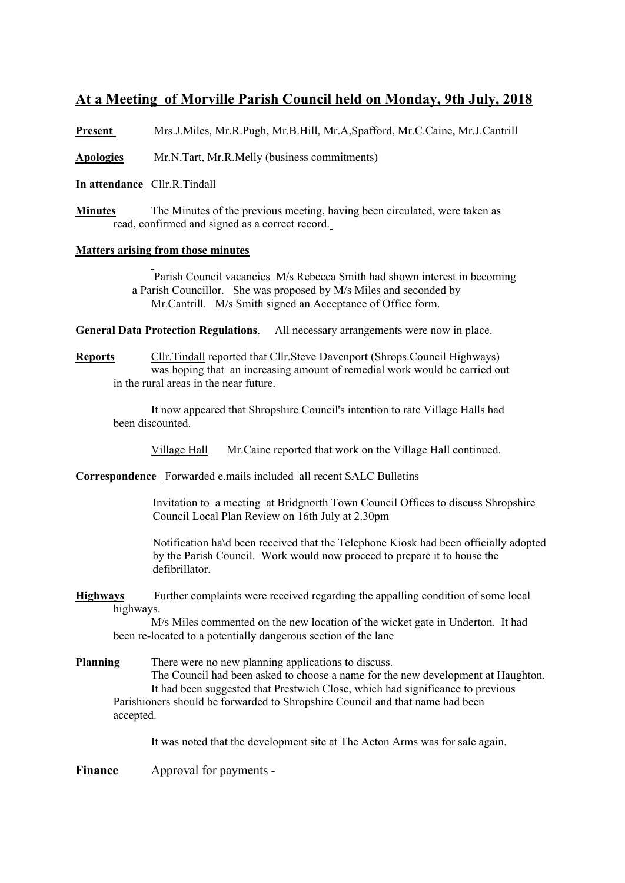## **At a Meeting of Morville Parish Council held on Monday, 9th July, 2018**

**Present** Mrs.J.Miles, Mr.R.Pugh, Mr.B.Hill, Mr.A,Spafford, Mr.C.Caine, Mr.J.Cantrill

**Apologies** Mr.N.Tart, Mr.R.Melly (business commitments)

**In attendance** Cllr.R.Tindall

**Minutes** The Minutes of the previous meeting, having been circulated, were taken as read, confirmed and signed as a correct record.

## **Matters arising from those minutes**

 Parish Council vacancies M/s Rebecca Smith had shown interest in becoming a Parish Councillor. She was proposed by M/s Miles and seconded by Mr.Cantrill. M/s Smith signed an Acceptance of Office form.

**General Data Protection Regulations**. All necessary arrangements were now in place.

## **Reports** Cllr.Tindall reported that Cllr.Steve Davenport (Shrops.Council Highways) was hoping that an increasing amount of remedial work would be carried out in the rural areas in the near future.

It now appeared that Shropshire Council's intention to rate Village Halls had been discounted.

Village Hall Mr.Caine reported that work on the Village Hall continued.

**Correspondence** Forwarded e.mails included all recent SALC Bulletins

Invitation to a meeting at Bridgnorth Town Council Offices to discuss Shropshire Council Local Plan Review on 16th July at 2.30pm

Notification ha\d been received that the Telephone Kiosk had been officially adopted by the Parish Council. Work would now proceed to prepare it to house the defibrillator.

**Highways** Further complaints were received regarding the appalling condition of some local highways.

M/s Miles commented on the new location of the wicket gate in Underton. It had been re-located to a potentially dangerous section of the lane

**Planning** There were no new planning applications to discuss. The Council had been asked to choose a name for the new development at Haughton. It had been suggested that Prestwich Close, which had significance to previous Parishioners should be forwarded to Shropshire Council and that name had been accepted.

It was noted that the development site at The Acton Arms was for sale again.

**Finance** Approval for payments -